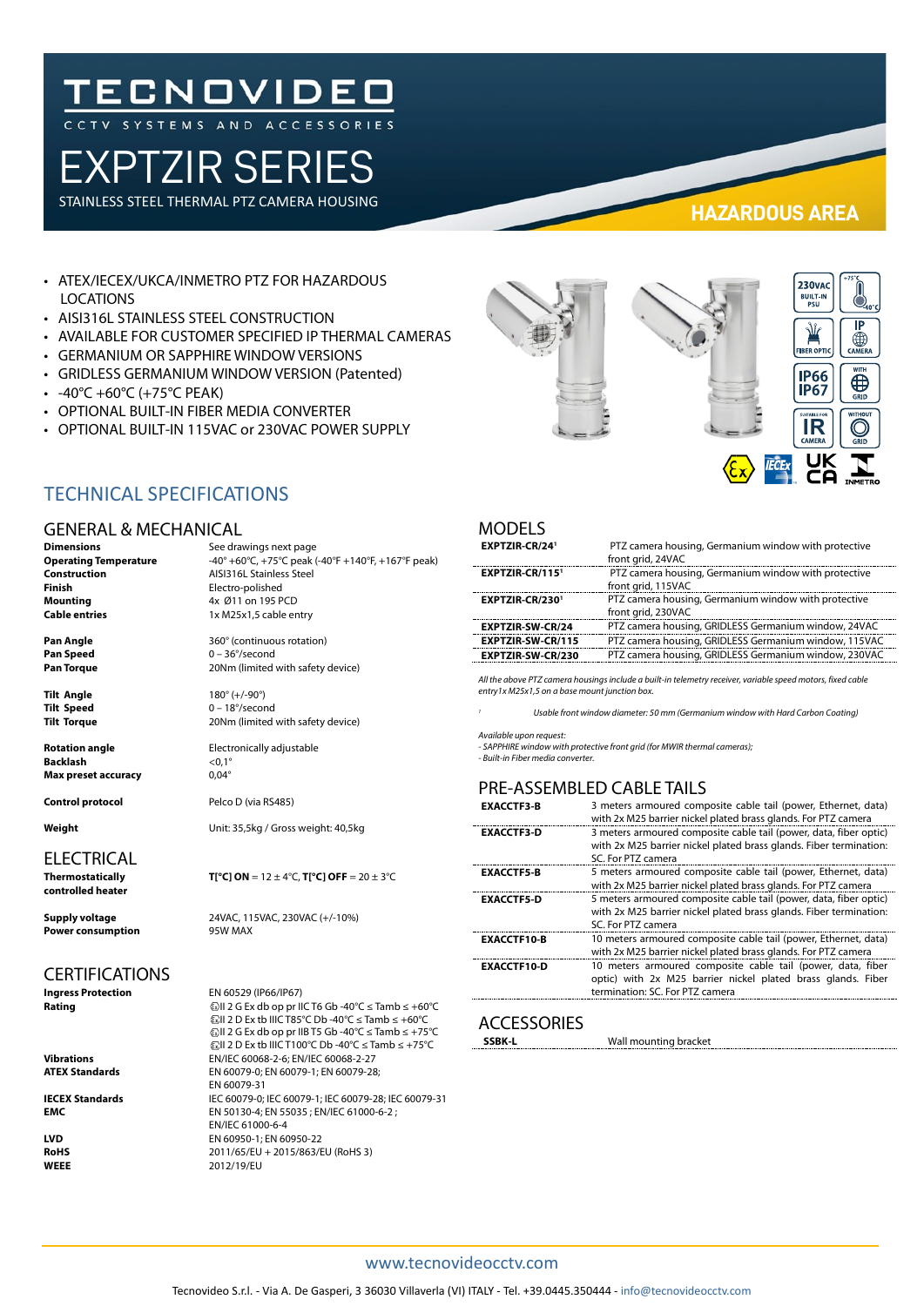# **TECNOVIDEO**

## EXPTZIR SERIES

STAINLESS STEEL THERMAL PTZ CAMERA HOUSING

**HAZARDOUS AREA**

- ATEX/IECEX/UKCA/INMETRO PTZ FOR HAZARDOUS LOCATIONS
- AISI316L STAINLESS STEEL CONSTRUCTION
- AVAILABLE FOR CUSTOMER SPECIFIED IP THERMAL CAMERAS
- GERMANIUM OR SAPPHIRE WINDOW VERSIONS
- GRIDLESS GERMANIUM WINDOW VERSION (Patented)
- $-40^{\circ}$ C +60 $^{\circ}$ C (+75 $^{\circ}$ C PEAK)
- OPTIONAL BUILT-IN FIBER MEDIA CONVERTER
- OPTIONAL BUILT-IN 115VAC or 230VAC POWER SUPPLY



#### TECHNICAL SPECIFICATIONS

#### **GENERAL & MECHAN**

**Backlash** <0,1<sup>°</sup><br> **Max preset accuracy** 0.04<sup>°</sup> **Max preset accuracy** 

**Control protocol** Pelco D (via RS485)

### ELECTRICAL<br>Thermostatically

**controlled heater**

**Power consumption** 

### CERTIFICATIONS<br>Ingress Protection

**Rating** II 2 G Ex db op pr IIC T6 Gb -40°C ≤ Tamb ≤ +60°C

| <b>GENERAL &amp; MECHANICAL</b> |                                                    |  |
|---------------------------------|----------------------------------------------------|--|
| <b>Dimensions</b>               | See drawings next page                             |  |
| <b>Operating Temperature</b>    | -40° +60°C, +75°C peak (-40°F +140°F, +167°F peak) |  |
| <b>Construction</b>             | <b>AISI316L Stainless Steel</b>                    |  |
| <b>Finish</b>                   | Electro-polished                                   |  |
| <b>Mounting</b>                 | 4x Ø11 on 195 PCD                                  |  |
| <b>Cable entries</b>            | 1x M25x1,5 cable entry                             |  |

**Pan Angle** 360° (continuous rotation)<br> **Pan Speed** 0 - 36°/second **Pan Speed** 0 – 36°/second Pan Torque 20Nm (limited with safety device)

**Tilt Angle** 180° (+/-90°) **Tilt Speed** 0 – 18°/second<br> **Tilt Torque** 20Nm (limited 20Nm (limited with safety device)

**Rotation angle Electronically adjustable** 

**Weight** Unit: 35,5kg / Gross weight: 40,5kg

#### **T[°C] ON** =  $12 \pm 4$ °C, **T[°C] OFF** =  $20 \pm 3$ °C

## **Ingress Protection** EN 60529 (IP66/IP67)

II 2 D Ex tb IIIC T85°C Db -40°C ≤ Tamb ≤ +60°C II 2 G Ex db op pr IIB T5 Gb -40°C ≤ Tamb ≤ +75°C II 2 D Ex tb IIIC T100°C Db -40°C ≤ Tamb ≤ +75°C **Vibrations** EN/IEC 60068-2-6; EN/IEC 60068-2-27<br>**ATEX Standards** EN 60079-0; EN 60079-1; EN 60079-28 **ATEX Standards** EN 60079-0; EN 60079-1; EN 60079-28; EN 60079-31 **IECEX Standards** IEC 60079-0; IEC 60079-1; IEC 60079-28; IEC 60079-31 **EMC** EN 50130-4; EN 55035 ; EN/IEC 61000-6-2 ; EN/IEC 61000-6-4 **LVD** EN 60950-1; EN 60950-22 **RoHS** 2011/65/EU + 2015/863/EU (RoHS 3)<br> **WEEE** 2012/19/EU **WEEE** 2012/19/EU

#### MODELS

| EXPTZIR-CR/24 <sup>1</sup> | PTZ camera housing, Germanium window with protective<br>front grid, 24VAC  |
|----------------------------|----------------------------------------------------------------------------|
| EXPTZIR-CR/1151            | PTZ camera housing, Germanium window with protective<br>front grid, 115VAC |
| EXPTZIR-CR/2301            | PTZ camera housing, Germanium window with protective<br>front grid, 230VAC |
| <b>EXPTZIR-SW-CR/24</b>    | PTZ camera housing, GRIDLESS Germanium window, 24VAC                       |
| <b>EXPTZIR-SW-CR/115</b>   | PTZ camera housing, GRIDLESS Germanium window, 115VAC                      |
| <b>EXPTZIR-SW-CR/230</b>   | PTZ camera housing, GRIDLESS Germanium window, 230VAC                      |
|                            |                                                                            |

*All the above PTZ camera housings include a built-in telemetry receiver, variable speed motors, fixed cable entry1x M25x1,5 on a base mount junction box.* 

*<sup>1</sup> Usable front window diameter: 50 mm (Germanium window with Hard Carbon Coating)*

*Available upon request:* 

*- SAPPHIRE window with protective front grid (for MWIR thermal cameras); - Built-in Fiber media converter.*

#### PRE-ASSEMBLED CABLE TAILS

| <b>EXACCTF3-B</b>  | 3 meters armoured composite cable tail (power, Ethernet, data)<br>with 2x M25 barrier nickel plated brass glands. For PTZ camera                               |
|--------------------|----------------------------------------------------------------------------------------------------------------------------------------------------------------|
| <b>EXACCTF3 D</b>  | 3 meters armoured composite cable tail (power, data, fiber optic)<br>with 2x M25 barrier nickel plated brass glands. Fiber termination:<br>SC. For PTZ camera  |
| <b>EXACCTF5-B</b>  | 5 meters armoured composite cable tail (power, Ethernet, data)<br>with 2x M25 barrier nickel plated brass glands. For PTZ camera                               |
| <b>EXACCTF5-D</b>  | 5 meters armoured composite cable tail (power, data, fiber optic)<br>with 2x M25 barrier nickel plated brass glands. Fiber termination:<br>SC. For PTZ camera  |
| <b>EXACCTF10-B</b> | 10 meters armoured composite cable tail (power, Ethernet, data)<br>with 2x M25 barrier nickel plated brass glands. For PTZ camera                              |
| <b>EXACCTF10-D</b> | 10 meters armoured composite cable tail (power, data, fiber<br>optic) with 2x M25 barrier nickel plated brass glands. Fiber<br>termination: SC. For PTZ camera |

#### **ACCESSORIES**

**SSBK-L** Wall mounting bracket

#### www.tecnovideocctv.com

**Supply voltage** 24VAC, 115VAC, 230VAC (+/-10%)<br> **Power consumption** 95W MAX